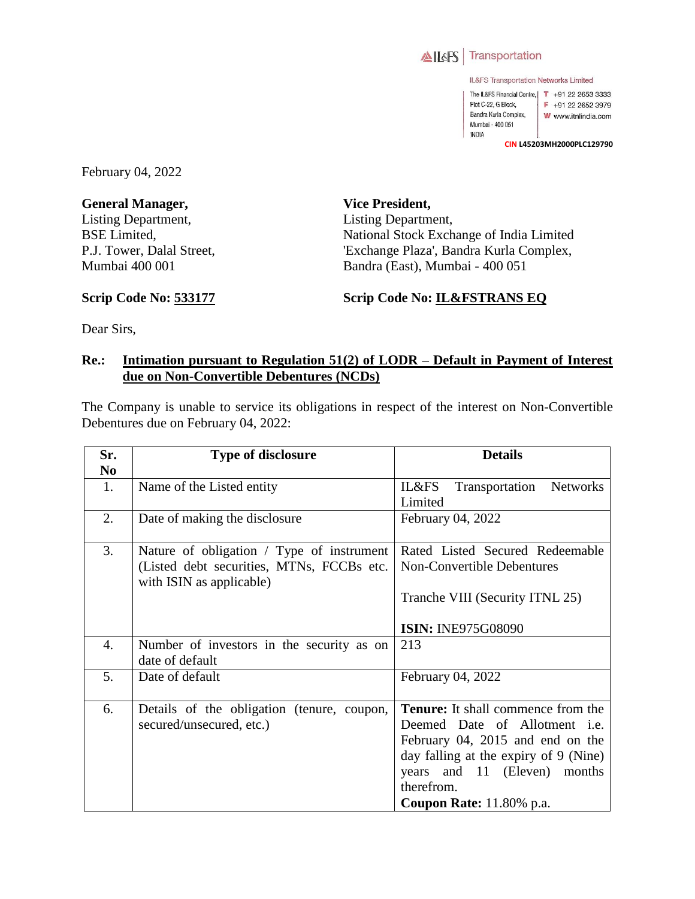

IL&FS Transportation Networks Limited

The IL&FS Financial Centre, | T +91 22 2653 3333 Plot C-22, G Block, F +91 22 2652 3979 Bandra Kurla Complex, W www.itnlindia.com Mumbai - 400 051 **INDIA** 

**CIN L45203MH2000PLC129790**

February 04, 2022

**General Manager,**  Listing Department, BSE Limited, P.J. Tower, Dalal Street, Mumbai 400 001

**Vice President,**  Listing Department, National Stock Exchange of India Limited 'Exchange Plaza', Bandra Kurla Complex, Bandra (East), Mumbai - 400 051

**Scrip Code No: 533177**

**Scrip Code No: IL&FSTRANS EQ**

Dear Sirs,

## **Re.: Intimation pursuant to Regulation 51(2) of LODR – Default in Payment of Interest due on Non-Convertible Debentures (NCDs)**

The Company is unable to service its obligations in respect of the interest on Non-Convertible Debentures due on February 04, 2022:

| Sr.            | <b>Type of disclosure</b>                                             | <b>Details</b>                             |
|----------------|-----------------------------------------------------------------------|--------------------------------------------|
| N <sub>0</sub> |                                                                       |                                            |
| 1.             | Name of the Listed entity                                             | IL&FS<br>Transportation<br><b>Networks</b> |
|                |                                                                       | Limited                                    |
| 2.             | Date of making the disclosure                                         | February 04, 2022                          |
| 3.             | Nature of obligation / Type of instrument                             | Rated Listed Secured Redeemable            |
|                | (Listed debt securities, MTNs, FCCBs etc.<br>with ISIN as applicable) | <b>Non-Convertible Debentures</b>          |
|                |                                                                       | Tranche VIII (Security ITNL 25)            |
|                |                                                                       | <b>ISIN: INE975G08090</b>                  |
| 4.             | Number of investors in the security as on<br>date of default          | 213                                        |
| 5.             | Date of default                                                       | February 04, 2022                          |
| 6.             | Details of the obligation (tenure, coupon,                            | Tenure: It shall commence from the         |
|                | secured/unsecured, etc.)                                              | Deemed Date of Allotment <i>i.e.</i>       |
|                |                                                                       | February 04, 2015 and end on the           |
|                |                                                                       | day falling at the expiry of 9 (Nine)      |
|                |                                                                       | years and 11 (Eleven) months               |
|                |                                                                       | therefrom.                                 |
|                |                                                                       | <b>Coupon Rate:</b> 11.80% p.a.            |